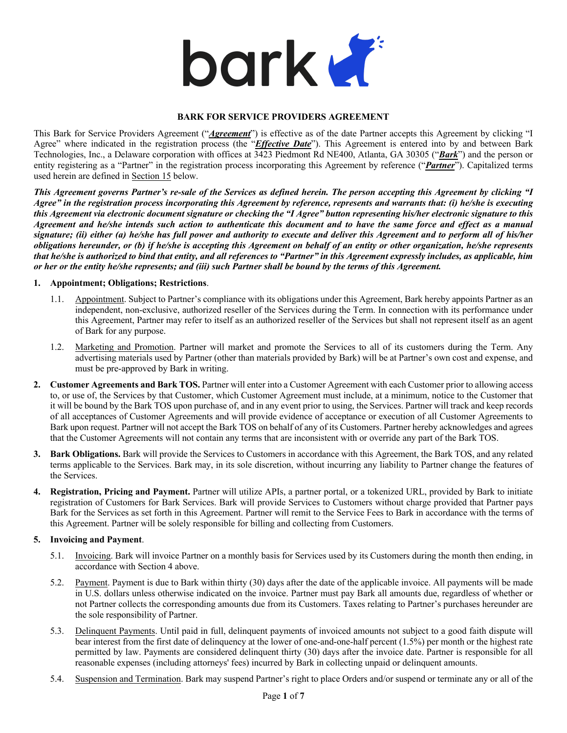

#### **BARK FOR SERVICE PROVIDERS AGREEMENT**

This Bark for Service Providers Agreement ("*Agreement*") is effective as of the date Partner accepts this Agreement by clicking "I Agree" where indicated in the registration process (the "*Effective Date*"). This Agreement is entered into by and between Bark Technologies, Inc., a Delaware corporation with offices at 3423 Piedmont Rd NE400, Atlanta, GA 30305 ("*Bark*") and the person or entity registering as a "Partner" in the registration process incorporating this Agreement by reference ("*Partner*"). Capitalized terms used herein are defined in Section 15 below.

*This Agreement governs Partner's re-sale of the Services as defined herein. The person accepting this Agreement by clicking "I Agree" in the registration process incorporating this Agreement by reference, represents and warrants that: (i) he/she is executing this Agreement via electronic document signature or checking the "I Agree" button representing his/her electronic signature to this Agreement and he/she intends such action to authenticate this document and to have the same force and effect as a manual signature; (ii) either (a) he/she has full power and authority to execute and deliver this Agreement and to perform all of his/her obligations hereunder, or (b) if he/she is accepting this Agreement on behalf of an entity or other organization, he/she represents that he/she is authorized to bind that entity, and all references to "Partner" in this Agreement expressly includes, as applicable, him or her or the entity he/she represents; and (iii) such Partner shall be bound by the terms of this Agreement.*

#### **1. Appointment; Obligations; Restrictions**.

- 1.1. Appointment. Subject to Partner's compliance with its obligations under this Agreement, Bark hereby appoints Partner as an independent, non-exclusive, authorized reseller of the Services during the Term. In connection with its performance under this Agreement, Partner may refer to itself as an authorized reseller of the Services but shall not represent itself as an agent of Bark for any purpose.
- 1.2. Marketing and Promotion. Partner will market and promote the Services to all of its customers during the Term. Any advertising materials used by Partner (other than materials provided by Bark) will be at Partner's own cost and expense, and must be pre-approved by Bark in writing.
- **2. Customer Agreements and Bark TOS.** Partner will enter into a Customer Agreement with each Customer prior to allowing access to, or use of, the Services by that Customer, which Customer Agreement must include, at a minimum, notice to the Customer that it will be bound by the Bark TOS upon purchase of, and in any event prior to using, the Services. Partner will track and keep records of all acceptances of Customer Agreements and will provide evidence of acceptance or execution of all Customer Agreements to Bark upon request. Partner will not accept the Bark TOS on behalf of any of its Customers. Partner hereby acknowledges and agrees that the Customer Agreements will not contain any terms that are inconsistent with or override any part of the Bark TOS.
- **3. Bark Obligations.** Bark will provide the Services to Customers in accordance with this Agreement, the Bark TOS, and any related terms applicable to the Services. Bark may, in its sole discretion, without incurring any liability to Partner change the features of the Services.
- **4. Registration, Pricing and Payment.** Partner will utilize APIs, a partner portal, or a tokenized URL, provided by Bark to initiate registration of Customers for Bark Services. Bark will provide Services to Customers without charge provided that Partner pays Bark for the Services as set forth in this Agreement. Partner will remit to the Service Fees to Bark in accordance with the terms of this Agreement. Partner will be solely responsible for billing and collecting from Customers.

# **5. Invoicing and Payment**.

- 5.1. Invoicing. Bark will invoice Partner on a monthly basis for Services used by its Customers during the month then ending, in accordance with Section 4 above.
- 5.2. Payment. Payment is due to Bark within thirty (30) days after the date of the applicable invoice. All payments will be made in U.S. dollars unless otherwise indicated on the invoice. Partner must pay Bark all amounts due, regardless of whether or not Partner collects the corresponding amounts due from its Customers. Taxes relating to Partner's purchases hereunder are the sole responsibility of Partner.
- 5.3. Delinquent Payments. Until paid in full, delinquent payments of invoiced amounts not subject to a good faith dispute will bear interest from the first date of delinquency at the lower of one-and-one-half percent (1.5%) per month or the highest rate permitted by law. Payments are considered delinquent thirty (30) days after the invoice date. Partner is responsible for all reasonable expenses (including attorneys' fees) incurred by Bark in collecting unpaid or delinquent amounts.
- 5.4. Suspension and Termination. Bark may suspend Partner's right to place Orders and/or suspend or terminate any or all of the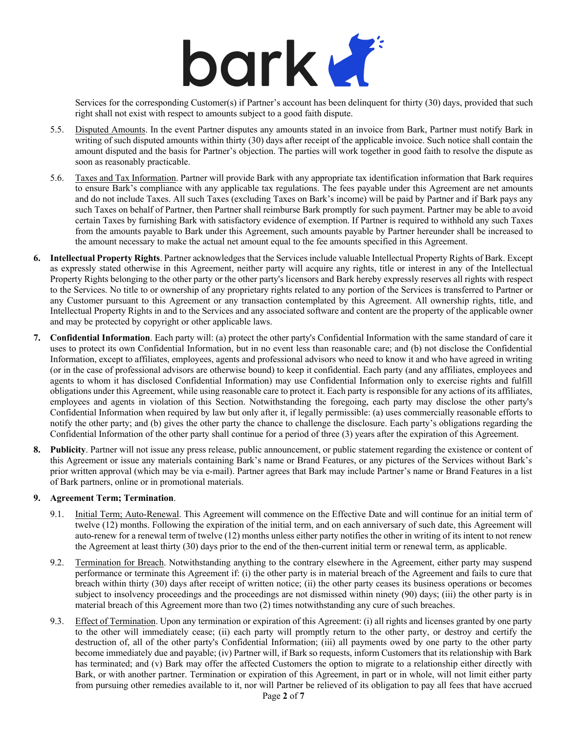

Services for the corresponding Customer(s) if Partner's account has been delinquent for thirty (30) days, provided that such right shall not exist with respect to amounts subject to a good faith dispute.

- 5.5. Disputed Amounts. In the event Partner disputes any amounts stated in an invoice from Bark, Partner must notify Bark in writing of such disputed amounts within thirty (30) days after receipt of the applicable invoice. Such notice shall contain the amount disputed and the basis for Partner's objection. The parties will work together in good faith to resolve the dispute as soon as reasonably practicable.
- 5.6. Taxes and Tax Information. Partner will provide Bark with any appropriate tax identification information that Bark requires to ensure Bark's compliance with any applicable tax regulations. The fees payable under this Agreement are net amounts and do not include Taxes. All such Taxes (excluding Taxes on Bark's income) will be paid by Partner and if Bark pays any such Taxes on behalf of Partner, then Partner shall reimburse Bark promptly for such payment. Partner may be able to avoid certain Taxes by furnishing Bark with satisfactory evidence of exemption. If Partner is required to withhold any such Taxes from the amounts payable to Bark under this Agreement, such amounts payable by Partner hereunder shall be increased to the amount necessary to make the actual net amount equal to the fee amounts specified in this Agreement.
- **6. Intellectual Property Rights**. Partner acknowledges that the Services include valuable Intellectual Property Rights of Bark. Except as expressly stated otherwise in this Agreement, neither party will acquire any rights, title or interest in any of the Intellectual Property Rights belonging to the other party or the other party's licensors and Bark hereby expressly reserves all rights with respect to the Services. No title to or ownership of any proprietary rights related to any portion of the Services is transferred to Partner or any Customer pursuant to this Agreement or any transaction contemplated by this Agreement. All ownership rights, title, and Intellectual Property Rights in and to the Services and any associated software and content are the property of the applicable owner and may be protected by copyright or other applicable laws.
- **7. Confidential Information**. Each party will: (a) protect the other party's Confidential Information with the same standard of care it uses to protect its own Confidential Information, but in no event less than reasonable care; and (b) not disclose the Confidential Information, except to affiliates, employees, agents and professional advisors who need to know it and who have agreed in writing (or in the case of professional advisors are otherwise bound) to keep it confidential. Each party (and any affiliates, employees and agents to whom it has disclosed Confidential Information) may use Confidential Information only to exercise rights and fulfill obligations under this Agreement, while using reasonable care to protect it. Each party is responsible for any actions of its affiliates, employees and agents in violation of this Section. Notwithstanding the foregoing, each party may disclose the other party's Confidential Information when required by law but only after it, if legally permissible: (a) uses commercially reasonable efforts to notify the other party; and (b) gives the other party the chance to challenge the disclosure. Each party's obligations regarding the Confidential Information of the other party shall continue for a period of three (3) years after the expiration of this Agreement.
- **8. Publicity**. Partner will not issue any press release, public announcement, or public statement regarding the existence or content of this Agreement or issue any materials containing Bark's name or Brand Features, or any pictures of the Services without Bark's prior written approval (which may be via e-mail). Partner agrees that Bark may include Partner's name or Brand Features in a list of Bark partners, online or in promotional materials.

# **9. Agreement Term; Termination**.

- 9.1. Initial Term; Auto-Renewal. This Agreement will commence on the Effective Date and will continue for an initial term of twelve (12) months. Following the expiration of the initial term, and on each anniversary of such date, this Agreement will auto-renew for a renewal term of twelve (12) months unless either party notifies the other in writing of its intent to not renew the Agreement at least thirty (30) days prior to the end of the then-current initial term or renewal term, as applicable.
- 9.2. Termination for Breach. Notwithstanding anything to the contrary elsewhere in the Agreement, either party may suspend performance or terminate this Agreement if: (i) the other party is in material breach of the Agreement and fails to cure that breach within thirty (30) days after receipt of written notice; (ii) the other party ceases its business operations or becomes subject to insolvency proceedings and the proceedings are not dismissed within ninety (90) days; (iii) the other party is in material breach of this Agreement more than two (2) times notwithstanding any cure of such breaches.
- 9.3. Effect of Termination. Upon any termination or expiration of this Agreement: (i) all rights and licenses granted by one party to the other will immediately cease; (ii) each party will promptly return to the other party, or destroy and certify the destruction of, all of the other party's Confidential Information; (iii) all payments owed by one party to the other party become immediately due and payable; (iv) Partner will, if Bark so requests, inform Customers that its relationship with Bark has terminated; and (v) Bark may offer the affected Customers the option to migrate to a relationship either directly with Bark, or with another partner. Termination or expiration of this Agreement, in part or in whole, will not limit either party from pursuing other remedies available to it, nor will Partner be relieved of its obligation to pay all fees that have accrued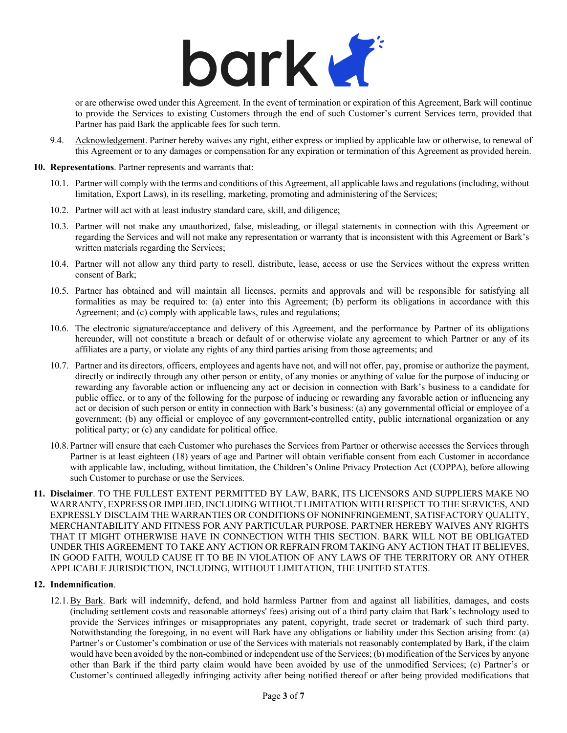# bark K

or are otherwise owed under this Agreement. In the event of termination or expiration of this Agreement, Bark will continue to provide the Services to existing Customers through the end of such Customer's current Services term, provided that Partner has paid Bark the applicable fees for such term.

9.4. Acknowledgement. Partner hereby waives any right, either express or implied by applicable law or otherwise, to renewal of this Agreement or to any damages or compensation for any expiration or termination of this Agreement as provided herein.

#### **10. Representations**. Partner represents and warrants that:

- 10.1. Partner will comply with the terms and conditions of this Agreement, all applicable laws and regulations (including, without limitation, Export Laws), in its reselling, marketing, promoting and administering of the Services;
- 10.2. Partner will act with at least industry standard care, skill, and diligence;
- 10.3. Partner will not make any unauthorized, false, misleading, or illegal statements in connection with this Agreement or regarding the Services and will not make any representation or warranty that is inconsistent with this Agreement or Bark's written materials regarding the Services;
- 10.4. Partner will not allow any third party to resell, distribute, lease, access or use the Services without the express written consent of Bark;
- 10.5. Partner has obtained and will maintain all licenses, permits and approvals and will be responsible for satisfying all formalities as may be required to: (a) enter into this Agreement; (b) perform its obligations in accordance with this Agreement; and (c) comply with applicable laws, rules and regulations;
- 10.6. The electronic signature/acceptance and delivery of this Agreement, and the performance by Partner of its obligations hereunder, will not constitute a breach or default of or otherwise violate any agreement to which Partner or any of its affiliates are a party, or violate any rights of any third parties arising from those agreements; and
- 10.7. Partner and its directors, officers, employees and agents have not, and will not offer, pay, promise or authorize the payment, directly or indirectly through any other person or entity, of any monies or anything of value for the purpose of inducing or rewarding any favorable action or influencing any act or decision in connection with Bark's business to a candidate for public office, or to any of the following for the purpose of inducing or rewarding any favorable action or influencing any act or decision of such person or entity in connection with Bark's business: (a) any governmental official or employee of a government; (b) any official or employee of any government-controlled entity, public international organization or any political party; or (c) any candidate for political office.
- 10.8. Partner will ensure that each Customer who purchases the Services from Partner or otherwise accesses the Services through Partner is at least eighteen (18) years of age and Partner will obtain verifiable consent from each Customer in accordance with applicable law, including, without limitation, the Children's Online Privacy Protection Act (COPPA), before allowing such Customer to purchase or use the Services.
- **11. Disclaimer**. TO THE FULLEST EXTENT PERMITTED BY LAW, BARK, ITS LICENSORS AND SUPPLIERS MAKE NO WARRANTY, EXPRESS OR IMPLIED, INCLUDING WITHOUT LIMITATION WITH RESPECT TO THE SERVICES, AND EXPRESSLY DISCLAIM THE WARRANTIES OR CONDITIONS OF NONINFRINGEMENT, SATISFACTORY QUALITY, MERCHANTABILITY AND FITNESS FOR ANY PARTICULAR PURPOSE. PARTNER HEREBY WAIVES ANY RIGHTS THAT IT MIGHT OTHERWISE HAVE IN CONNECTION WITH THIS SECTION. BARK WILL NOT BE OBLIGATED UNDER THIS AGREEMENT TO TAKE ANY ACTION OR REFRAIN FROM TAKING ANY ACTION THAT IT BELIEVES, IN GOOD FAITH, WOULD CAUSE IT TO BE IN VIOLATION OF ANY LAWS OF THE TERRITORY OR ANY OTHER APPLICABLE JURISDICTION, INCLUDING, WITHOUT LIMITATION, THE UNITED STATES.

# **12. Indemnification**.

12.1.By Bark. Bark will indemnify, defend, and hold harmless Partner from and against all liabilities, damages, and costs (including settlement costs and reasonable attorneys' fees) arising out of a third party claim that Bark's technology used to provide the Services infringes or misappropriates any patent, copyright, trade secret or trademark of such third party. Notwithstanding the foregoing, in no event will Bark have any obligations or liability under this Section arising from: (a) Partner's or Customer's combination or use of the Services with materials not reasonably contemplated by Bark, if the claim would have been avoided by the non-combined or independent use of the Services; (b) modification of the Services by anyone other than Bark if the third party claim would have been avoided by use of the unmodified Services; (c) Partner's or Customer's continued allegedly infringing activity after being notified thereof or after being provided modifications that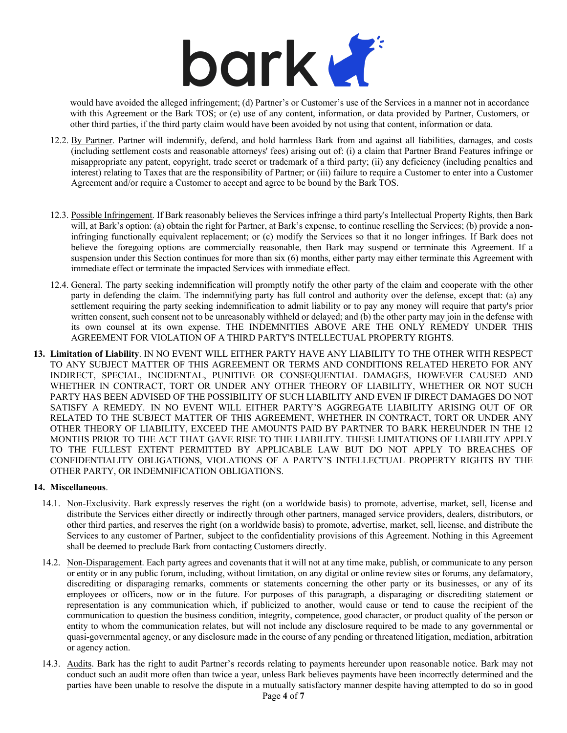

would have avoided the alleged infringement; (d) Partner's or Customer's use of the Services in a manner not in accordance with this Agreement or the Bark TOS; or (e) use of any content, information, or data provided by Partner, Customers, or other third parties, if the third party claim would have been avoided by not using that content, information or data.

- 12.2. By Partner. Partner will indemnify, defend, and hold harmless Bark from and against all liabilities, damages, and costs (including settlement costs and reasonable attorneys' fees) arising out of: (i) a claim that Partner Brand Features infringe or misappropriate any patent, copyright, trade secret or trademark of a third party; (ii) any deficiency (including penalties and interest) relating to Taxes that are the responsibility of Partner; or (iii) failure to require a Customer to enter into a Customer Agreement and/or require a Customer to accept and agree to be bound by the Bark TOS.
- 12.3. Possible Infringement. If Bark reasonably believes the Services infringe a third party's Intellectual Property Rights, then Bark will, at Bark's option: (a) obtain the right for Partner, at Bark's expense, to continue reselling the Services; (b) provide a noninfringing functionally equivalent replacement; or (c) modify the Services so that it no longer infringes. If Bark does not believe the foregoing options are commercially reasonable, then Bark may suspend or terminate this Agreement. If a suspension under this Section continues for more than six (6) months, either party may either terminate this Agreement with immediate effect or terminate the impacted Services with immediate effect.
- 12.4. General. The party seeking indemnification will promptly notify the other party of the claim and cooperate with the other party in defending the claim. The indemnifying party has full control and authority over the defense, except that: (a) any settlement requiring the party seeking indemnification to admit liability or to pay any money will require that party's prior written consent, such consent not to be unreasonably withheld or delayed; and (b) the other party may join in the defense with its own counsel at its own expense. THE INDEMNITIES ABOVE ARE THE ONLY REMEDY UNDER THIS AGREEMENT FOR VIOLATION OF A THIRD PARTY'S INTELLECTUAL PROPERTY RIGHTS.
- **13. Limitation of Liability**. IN NO EVENT WILL EITHER PARTY HAVE ANY LIABILITY TO THE OTHER WITH RESPECT TO ANY SUBJECT MATTER OF THIS AGREEMENT OR TERMS AND CONDITIONS RELATED HERETO FOR ANY INDIRECT, SPECIAL, INCIDENTAL, PUNITIVE OR CONSEQUENTIAL DAMAGES, HOWEVER CAUSED AND WHETHER IN CONTRACT, TORT OR UNDER ANY OTHER THEORY OF LIABILITY, WHETHER OR NOT SUCH PARTY HAS BEEN ADVISED OF THE POSSIBILITY OF SUCH LIABILITY AND EVEN IF DIRECT DAMAGES DO NOT SATISFY A REMEDY. IN NO EVENT WILL EITHER PARTY'S AGGREGATE LIABILITY ARISING OUT OF OR RELATED TO THE SUBJECT MATTER OF THIS AGREEMENT, WHETHER IN CONTRACT, TORT OR UNDER ANY OTHER THEORY OF LIABILITY, EXCEED THE AMOUNTS PAID BY PARTNER TO BARK HEREUNDER IN THE 12 MONTHS PRIOR TO THE ACT THAT GAVE RISE TO THE LIABILITY. THESE LIMITATIONS OF LIABILITY APPLY TO THE FULLEST EXTENT PERMITTED BY APPLICABLE LAW BUT DO NOT APPLY TO BREACHES OF CONFIDENTIALITY OBLIGATIONS, VIOLATIONS OF A PARTY'S INTELLECTUAL PROPERTY RIGHTS BY THE OTHER PARTY, OR INDEMNIFICATION OBLIGATIONS.

# **14. Miscellaneous**.

- 14.1. Non-Exclusivity. Bark expressly reserves the right (on a worldwide basis) to promote, advertise, market, sell, license and distribute the Services either directly or indirectly through other partners, managed service providers, dealers, distributors, or other third parties, and reserves the right (on a worldwide basis) to promote, advertise, market, sell, license, and distribute the Services to any customer of Partner, subject to the confidentiality provisions of this Agreement. Nothing in this Agreement shall be deemed to preclude Bark from contacting Customers directly.
- 14.2. Non-Disparagement. Each party agrees and covenants that it will not at any time make, publish, or communicate to any person or entity or in any public forum, including, without limitation, on any digital or online review sites or forums, any defamatory, discrediting or disparaging remarks, comments or statements concerning the other party or its businesses, or any of its employees or officers, now or in the future. For purposes of this paragraph, a disparaging or discrediting statement or representation is any communication which, if publicized to another, would cause or tend to cause the recipient of the communication to question the business condition, integrity, competence, good character, or product quality of the person or entity to whom the communication relates, but will not include any disclosure required to be made to any governmental or quasi-governmental agency, or any disclosure made in the course of any pending or threatened litigation, mediation, arbitration or agency action.
- 14.3. Audits. Bark has the right to audit Partner's records relating to payments hereunder upon reasonable notice. Bark may not conduct such an audit more often than twice a year, unless Bark believes payments have been incorrectly determined and the parties have been unable to resolve the dispute in a mutually satisfactory manner despite having attempted to do so in good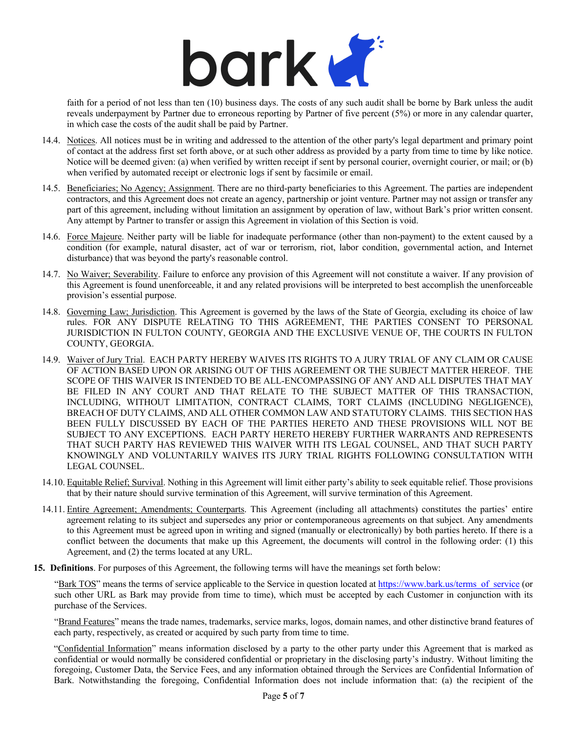

faith for a period of not less than ten (10) business days. The costs of any such audit shall be borne by Bark unless the audit reveals underpayment by Partner due to erroneous reporting by Partner of five percent (5%) or more in any calendar quarter, in which case the costs of the audit shall be paid by Partner.

- 14.4. Notices. All notices must be in writing and addressed to the attention of the other party's legal department and primary point of contact at the address first set forth above, or at such other address as provided by a party from time to time by like notice. Notice will be deemed given: (a) when verified by written receipt if sent by personal courier, overnight courier, or mail; or (b) when verified by automated receipt or electronic logs if sent by facsimile or email.
- 14.5. Beneficiaries; No Agency; Assignment. There are no third-party beneficiaries to this Agreement. The parties are independent contractors, and this Agreement does not create an agency, partnership or joint venture. Partner may not assign or transfer any part of this agreement, including without limitation an assignment by operation of law, without Bark's prior written consent. Any attempt by Partner to transfer or assign this Agreement in violation of this Section is void.
- 14.6. Force Majeure. Neither party will be liable for inadequate performance (other than non-payment) to the extent caused by a condition (for example, natural disaster, act of war or terrorism, riot, labor condition, governmental action, and Internet disturbance) that was beyond the party's reasonable control.
- 14.7. No Waiver; Severability. Failure to enforce any provision of this Agreement will not constitute a waiver. If any provision of this Agreement is found unenforceable, it and any related provisions will be interpreted to best accomplish the unenforceable provision's essential purpose.
- 14.8. Governing Law; Jurisdiction. This Agreement is governed by the laws of the State of Georgia, excluding its choice of law rules. FOR ANY DISPUTE RELATING TO THIS AGREEMENT, THE PARTIES CONSENT TO PERSONAL JURISDICTION IN FULTON COUNTY, GEORGIA AND THE EXCLUSIVE VENUE OF, THE COURTS IN FULTON COUNTY, GEORGIA.
- 14.9. Waiver of Jury Trial. EACH PARTY HEREBY WAIVES ITS RIGHTS TO A JURY TRIAL OF ANY CLAIM OR CAUSE OF ACTION BASED UPON OR ARISING OUT OF THIS AGREEMENT OR THE SUBJECT MATTER HEREOF. THE SCOPE OF THIS WAIVER IS INTENDED TO BE ALL-ENCOMPASSING OF ANY AND ALL DISPUTES THAT MAY BE FILED IN ANY COURT AND THAT RELATE TO THE SUBJECT MATTER OF THIS TRANSACTION, INCLUDING, WITHOUT LIMITATION, CONTRACT CLAIMS, TORT CLAIMS (INCLUDING NEGLIGENCE), BREACH OF DUTY CLAIMS, AND ALL OTHER COMMON LAW AND STATUTORY CLAIMS. THIS SECTION HAS BEEN FULLY DISCUSSED BY EACH OF THE PARTIES HERETO AND THESE PROVISIONS WILL NOT BE SUBJECT TO ANY EXCEPTIONS. EACH PARTY HERETO HEREBY FURTHER WARRANTS AND REPRESENTS THAT SUCH PARTY HAS REVIEWED THIS WAIVER WITH ITS LEGAL COUNSEL, AND THAT SUCH PARTY KNOWINGLY AND VOLUNTARILY WAIVES ITS JURY TRIAL RIGHTS FOLLOWING CONSULTATION WITH LEGAL COUNSEL.
- 14.10. Equitable Relief; Survival. Nothing in this Agreement will limit either party's ability to seek equitable relief. Those provisions that by their nature should survive termination of this Agreement, will survive termination of this Agreement.
- 14.11. Entire Agreement; Amendments; Counterparts. This Agreement (including all attachments) constitutes the parties' entire agreement relating to its subject and supersedes any prior or contemporaneous agreements on that subject. Any amendments to this Agreement must be agreed upon in writing and signed (manually or electronically) by both parties hereto. If there is a conflict between the documents that make up this Agreement, the documents will control in the following order: (1) this Agreement, and (2) the terms located at any URL.
- **15. Definitions**. For purposes of this Agreement, the following terms will have the meanings set forth below:

"Bark TOS" means the terms of service applicable to the Service in question located at https://www.bark.us/terms\_of\_service (or such other URL as Bark may provide from time to time), which must be accepted by each Customer in conjunction with its purchase of the Services.

"Brand Features" means the trade names, trademarks, service marks, logos, domain names, and other distinctive brand features of each party, respectively, as created or acquired by such party from time to time.

"Confidential Information" means information disclosed by a party to the other party under this Agreement that is marked as confidential or would normally be considered confidential or proprietary in the disclosing party's industry. Without limiting the foregoing, Customer Data, the Service Fees, and any information obtained through the Services are Confidential Information of Bark. Notwithstanding the foregoing, Confidential Information does not include information that: (a) the recipient of the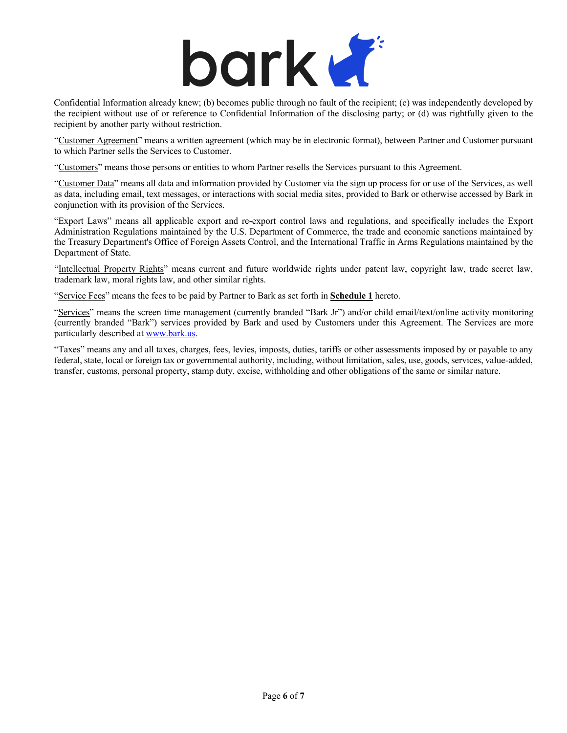

Confidential Information already knew; (b) becomes public through no fault of the recipient; (c) was independently developed by the recipient without use of or reference to Confidential Information of the disclosing party; or (d) was rightfully given to the recipient by another party without restriction.

"Customer Agreement" means a written agreement (which may be in electronic format), between Partner and Customer pursuant to which Partner sells the Services to Customer.

"Customers" means those persons or entities to whom Partner resells the Services pursuant to this Agreement.

"Customer Data" means all data and information provided by Customer via the sign up process for or use of the Services, as well as data, including email, text messages, or interactions with social media sites, provided to Bark or otherwise accessed by Bark in conjunction with its provision of the Services.

"Export Laws" means all applicable export and re-export control laws and regulations, and specifically includes the Export Administration Regulations maintained by the U.S. Department of Commerce, the trade and economic sanctions maintained by the Treasury Department's Office of Foreign Assets Control, and the International Traffic in Arms Regulations maintained by the Department of State.

"Intellectual Property Rights" means current and future worldwide rights under patent law, copyright law, trade secret law, trademark law, moral rights law, and other similar rights.

"Service Fees" means the fees to be paid by Partner to Bark as set forth in **Schedule 1** hereto.

"Services" means the screen time management (currently branded "Bark Jr") and/or child email/text/online activity monitoring (currently branded "Bark") services provided by Bark and used by Customers under this Agreement. The Services are more particularly described at www.bark.us.

"Taxes" means any and all taxes, charges, fees, levies, imposts, duties, tariffs or other assessments imposed by or payable to any federal, state, local or foreign tax or governmental authority, including, without limitation, sales, use, goods, services, value-added, transfer, customs, personal property, stamp duty, excise, withholding and other obligations of the same or similar nature.